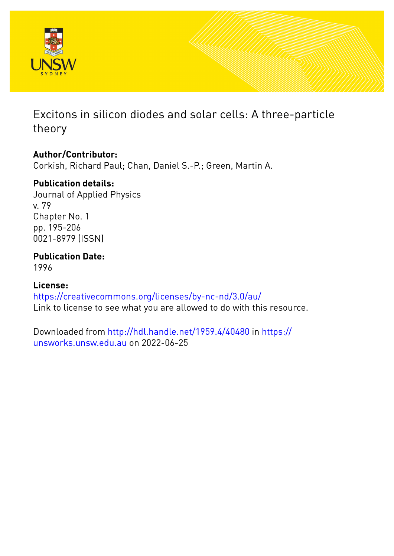

# Excitons in silicon diodes and solar cells: A three-particle theory

## **Author/Contributor:**

Corkish, Richard Paul; Chan, Daniel S.-P.; Green, Martin A.

### **Publication details:**

Journal of Applied Physics v. 79 Chapter No. 1 pp. 195-206 0021-8979 (ISSN)

# **Publication Date:**

1996

# **License:**

<https://creativecommons.org/licenses/by-nc-nd/3.0/au/> Link to license to see what you are allowed to do with this resource.

Downloaded from <http://hdl.handle.net/1959.4/40480> in [https://](https://unsworks.unsw.edu.au) [unsworks.unsw.edu.au](https://unsworks.unsw.edu.au) on 2022-06-25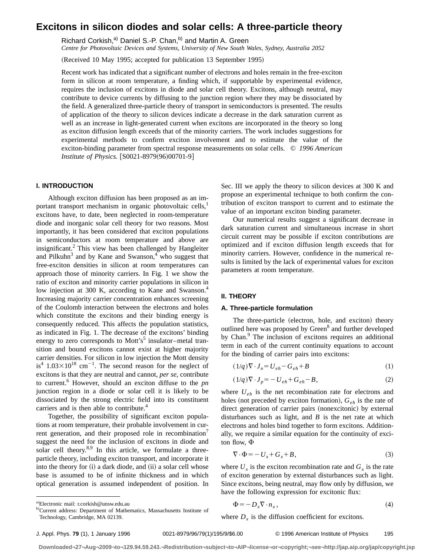### **Excitons in silicon diodes and solar cells: A three-particle theory**

Richard Corkish,<sup>a)</sup> Daniel S.-P. Chan,<sup>b)</sup> and Martin A. Green

*Centre for Photovoltaic Devices and Systems, University of New South Wales, Sydney, Australia 2052*

(Received 10 May 1995; accepted for publication 13 September 1995)

Recent work has indicated that a significant number of electrons and holes remain in the free-exciton form in silicon at room temperature, a finding which, if supportable by experimental evidence, requires the inclusion of excitons in diode and solar cell theory. Excitons, although neutral, may contribute to device currents by diffusing to the junction region where they may be dissociated by the field. A generalized three-particle theory of transport in semiconductors is presented. The results of application of the theory to silicon devices indicate a decrease in the dark saturation current as well as an increase in light-generated current when excitons are incorporated in the theory so long as exciton diffusion length exceeds that of the minority carriers. The work includes suggestions for experimental methods to confirm exciton involvement and to estimate the value of the exciton-binding parameter from spectral response measurements on solar cells. © *1996 American Institute of Physics.* [S0021-8979(96)00701-9]

### **I. INTRODUCTION**

Although exciton diffusion has been proposed as an important transport mechanism in organic photovoltaic cells, $<sup>1</sup>$ </sup> excitons have, to date, been neglected in room-temperature diode and inorganic solar cell theory for two reasons. Most importantly, it has been considered that exciton populations in semiconductors at room temperature and above are insignificant.<sup>2</sup> This view has been challenged by Hangleiter and Pilkuhn<sup>3</sup> and by Kane and Swanson,<sup>4</sup> who suggest that free-exciton densities in silicon at room temperatures can approach those of minority carriers. In Fig. 1 we show the ratio of exciton and minority carrier populations in silicon in low injection at 300 K, according to Kane and Swanson.<sup>4</sup> Increasing majority carrier concentration enhances screening of the Coulomb interaction between the electrons and holes which constitute the excitons and their binding energy is consequently reduced. This affects the population statistics, as indicated in Fig. 1. The decrease of the excitons' binding energy to zero corresponds to Mott's<sup>5</sup> insulator–metal transition and bound excitons cannot exist at higher majority carrier densities. For silicon in low injection the Mott density is<sup>4</sup>  $1.03 \times 10^{18}$  cm<sup>-1</sup>. The second reason for the neglect of excitons is that they are neutral and cannot, *per se*, contribute to current.<sup>6</sup> However, should an exciton diffuse to the *pn* junction region in a diode or solar cell it is likely to be dissociated by the strong electric field into its constituent carriers and is then able to contribute.<sup>4</sup>

Together, the possibility of significant exciton populations at room temperature, their probable involvement in current generation, and their proposed role in recombination suggest the need for the inclusion of excitons in diode and solar cell theory. $8.9$  In this article, we formulate a threeparticle theory, including exciton transport, and incorporate it into the theory for (i) a dark diode, and (ii) a solar cell whose base is assumed to be of infinite thickness and in which optical generation is assumed independent of position. In Sec. III we apply the theory to silicon devices at 300 K and propose an experimental technique to both confirm the contribution of exciton transport to current and to estimate the value of an important exciton binding parameter.

Our numerical results suggest a significant decrease in dark saturation current and simultaneous increase in short circuit current may be possible if exciton contributions are optimized and if exciton diffusion length exceeds that for minority carriers. However, confidence in the numerical results is limited by the lack of experimental values for exciton parameters at room temperature.

#### **II. THEORY**

#### **A. Three-particle formulation**

The three-particle (electron, hole, and exciton) theory outlined here was proposed by Green<sup>8</sup> and further developed by Chan.<sup>9</sup> The inclusion of excitons requires an additional term in each of the current continuity equations to account for the binding of carrier pairs into excitons:

$$
(1/q)\nabla \cdot J_n = U_{eh} - G_{eh} + B \tag{1}
$$

$$
(1/q)\nabla \cdot J_p = -U_{eh} + G_{eh} - B,\tag{2}
$$

where  $U_{eh}$  is the net recombination rate for electrons and holes (not preceded by exciton formation),  $G_{eh}$  is the rate of direct generation of carrier pairs (nonexcitonic) by external disturbances such as light, and *B* is the net rate at which electrons and holes bind together to form excitons. Additionally, we require a similar equation for the continuity of exciton flow,  $\Phi$ 

$$
\nabla \cdot \Phi = -U_x + G_x + B,\tag{3}
$$

where  $U_x$  is the exciton recombination rate and  $G_x$  is the rate of exciton generation by external disturbances such as light. Since excitons, being neutral, may flow only by diffusion, we have the following expression for excitonic flux:

$$
\Phi = -D_x \nabla \cdot n_x, \tag{4}
$$

where  $D_x$  is the diffusion coefficient for excitons.

a)Electronic mail: r.corkish@unsw.edu.au

b)Current address: Department of Mathematics, Massachusetts Institute of Technology, Cambridge, MA 02139.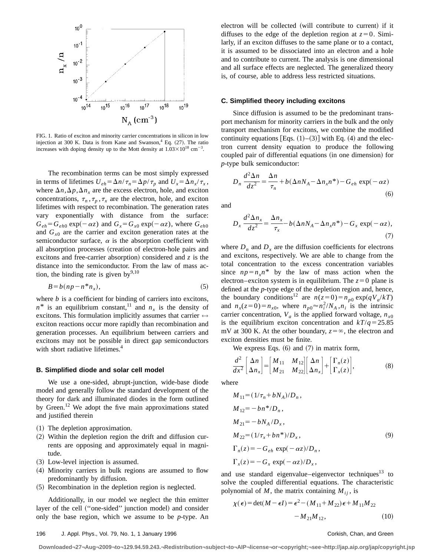

FIG. 1. Ratio of exciton and minority carrier concentrations in silicon in low injection at 300 K. Data is from Kane and Swanson,  $^{4}$  Eq.  $(27)$ . The ratio increases with doping density up to the Mott density at  $1.03 \times 10^{18}$  cm<sup>-3</sup>.

The recombination terms can be most simply expressed in terms of lifetimes  $U_{eh} = \Delta n / \tau_n = \Delta p / \tau_p$  and  $U_x = \Delta n_x / \tau_x$ , where  $\Delta n$ ,  $\Delta p$ ,  $\Delta n_x$  are the excess electron, hole, and exciton concentrations,  $\tau_n$ ,  $\tau_p$ ,  $\tau_x$  are the electron, hole, and exciton lifetimes with respect to recombination. The generation rates vary exponentially with distance from the surface:  $G_{eh} = G_{eh0} \exp(-\alpha z)$  and  $G_x = G_{x0} \exp(-\alpha z)$ , where  $G_{eh0}$ and  $G<sub>x0</sub>$  are the carrier and exciton generation rates at the semiconductor surface,  $\alpha$  is the absorption coefficient with all absorption processes (creation of electron-hole pairs and excitons and free-carrier absorption) considered and *z* is the distance into the semiconductor. From the law of mass action, the binding rate is given by  $9,10$ 

$$
B = b(np - n^*n_x),\tag{5}
$$

where *b* is a coefficient for binding of carriers into excitons,  $n^*$  is an equilibrium constant,<sup>11</sup> and  $n_x$  is the density of excitons. This formulation implicitly assumes that carrier  $\leftrightarrow$ exciton reactions occur more rapidly than recombination and generation processes. An equilibrium between carriers and excitons may not be possible in direct gap semiconductors with short radiative lifetimes.<sup>4</sup>

#### **B. Simplified diode and solar cell model**

We use a one-sided, abrupt-junction, wide-base diode model and generally follow the standard development of the theory for dark and illuminated diodes in the form outlined by Green.<sup>12</sup> We adopt the five main approximations stated and justified therein

- $(1)$  The depletion approximation.
- $(2)$  Within the depletion region the drift and diffusion currents are opposing and approximately equal in magnitude.
- (3) Low-level injection is assumed.
- (4) Minority carriers in bulk regions are assumed to flow predominantly by diffusion.
- $(5)$  Recombination in the depletion region is neglected.

Additionally, in our model we neglect the thin emitter layer of the cell ("one-sided" junction model) and consider only the base region, which we assume to be *p*-type. An electron will be collected (will contribute to current) if it diffuses to the edge of the depletion region at  $z=0$ . Similarly, if an exciton diffuses to the same plane or to a contact, it is assumed to be dissociated into an electron and a hole and to contribute to current. The analysis is one dimensional and all surface effects are neglected. The generalized theory is, of course, able to address less restricted situations.

#### **C. Simplified theory including excitons**

Since diffusion is assumed to be the predominant transport mechanism for minority carriers in the bulk and the only transport mechanism for excitons, we combine the modified continuity equations [Eqs.  $(1)$ – $(3)$ ] with Eq.  $(4)$  and the electron current density equation to produce the following coupled pair of differential equations (in one dimension) for *p*-type bulk semiconductor:

$$
D_n \frac{d^2 \Delta n}{dz^2} = \frac{\Delta n}{\tau_n} + b(\Delta n N_A - \Delta n_x n^*) - G_{eh} \exp(-\alpha z)
$$
\n(6)

and

$$
D_x \frac{d^2 \Delta n_x}{dz^2} = \frac{\Delta n_x}{\tau_x} - b(\Delta n N_A - \Delta n_x n^*) - G_x \exp(-\alpha z),
$$
\n(7)

where  $D_n$  and  $D_x$  are the diffusion coefficients for electrons and excitons, respectively. We are able to change from the total concentration to the excess concentration variables since  $np = n_n n^*$  by the law of mass action when the electron–exciton system is in equilibrium. The  $z=0$  plane is defined at the *p*-type edge of the depletion region and, hence, the boundary conditions<sup>12</sup> are  $n(z=0) = n_{p0} \exp(qV_a/kT)$ and  $n_x(z=0) = n_{x0}$ , where  $n_{p0} \approx n_i^2/N_A$ ,  $n_i$  is the intrinsic carrier concentration,  $V_a$  is the applied forward voltage,  $n_{x0}$ is the equilibrium exciton concentration and  $kT/q = 25.85$ mV at 300 K. At the other boundary,  $z = \infty$ , the electron and exciton densities must be finite.

We express Eqs.  $(6)$  and  $(7)$  in matrix form,

$$
\frac{d^2}{dx^2} \begin{bmatrix} \Delta n \\ \Delta n_x \end{bmatrix} = \begin{bmatrix} M_{11} & M_{12} \\ M_{21} & M_{22} \end{bmatrix} \begin{bmatrix} \Delta n \\ \Delta n_x \end{bmatrix} + \begin{bmatrix} \Gamma_n(z) \\ \Gamma_x(z) \end{bmatrix},
$$
(8)

where

$$
M_{11} = (1/\tau_n + bN_A)/D_n,
$$
  
\n
$$
M_{12} = -bn*/D_n,
$$
  
\n
$$
M_{21} = -bN_A/D_x,
$$
  
\n
$$
M_{22} = (1/\tau_x + bn^*)/D_x,
$$
  
\n
$$
\Gamma_n(z) = -G_{eh} \exp(-\alpha z)/D_n,
$$
  
\n
$$
\Gamma_x(z) = -G_x \exp(-\alpha z)/D_x,
$$
 (9)

and use standard eigenvalue–eigenvector techniques $13$  to solve the coupled differential equations. The characteristic polynomial of  $M$ , the matrix containing  $M_{ij}$ , is

$$
\chi(\epsilon) = \det(M - \epsilon I) = \epsilon^2 - (M_{11} + M_{22})\epsilon + M_{11}M_{22}
$$

$$
- M_{21}M_{12}, \qquad (10)
$$

**Downloaded¬27¬Aug¬2009¬to¬129.94.59.243.¬Redistribution¬subject¬to¬AIP¬license¬or¬copyright;¬see¬http://jap.aip.org/jap/copyright.jsp**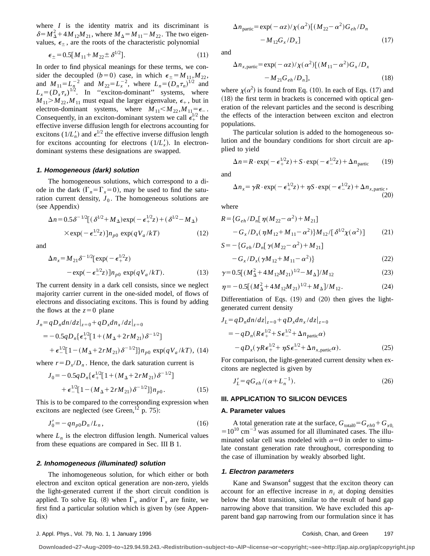where  $I$  is the identity matrix and its discriminant is  $\delta = M_{\Delta}^2 + 4M_{12}M_{21}$ , where  $M_{\Delta} = M_{11} - M_{22}$ . The two eigenvalues,  $\epsilon_{\pm}$ , are the roots of the characteristic polynomial

$$
\epsilon_{\pm} = 0.5[M_{11} + M_{22} \pm \delta^{1/2}]. \tag{11}
$$

In order to find physical meanings for these terms, we consider the decoupled  $(b=0)$  case, in which  $\epsilon_{\pm} = M_{11} M_{22}$ , and  $M_{11} = L_n^{-2}$  and  $M_{22} = L_x^{-2}$ , where  $L_n = (D_n \tau_n)^{1/2}$  and  $L_x = (D_x \tau_x)^{1/2}$ . In "exciton-dominant" systems, where  $M_{11} > M_{22}$ ,  $M_{11}$  must equal the larger eigenvalue,  $\epsilon_+$ , but in electron-dominant systems, where  $M_{11} < M_{22}$ ,  $M_{11} = \epsilon_2$ . Consequently, in an exciton-dominant system we call  $\epsilon_{+}^{1/2}$  the effective inverse diffusion length for electrons accounting for excitons ( $1/L'_n$ ) and  $\epsilon^{1/2}$  the effective inverse diffusion length for excitons accounting for electrons  $(1/L_x)$ . In electrondominant systems these designations are swapped.

### **1. Homogeneous (dark) solution**

The homogeneous solutions, which correspond to a diode in the dark  $(\Gamma_n = \Gamma_r = 0)$ , may be used to find the saturation current density,  $J_0$ . The homogeneous solutions are (see Appendix)

$$
\Delta n = 0.5 \delta^{-1/2} [(\delta^{1/2} + M_\Delta) \exp(-\epsilon_+^{1/2} z) + (\delta^{1/2} - M_\Delta)
$$
  
× exp(- $\epsilon_-^{1/2} z$ )] $n_{p0}$  exp( $qV_a/kT$ ) (12)

and

$$
\Delta n_x = M_{21} \delta^{-1/2} [\exp(-\epsilon_+^{1/2} z)]
$$
  
- 
$$
-\exp(-\epsilon_-^{1/2} z)] n_{p0} \exp(qV_a/kT).
$$
 (13)

The current density in a dark cell consists, since we neglect majority carrier current in the one-sided model, of flows of electrons and dissociating excitons. This is found by adding the flows at the  $z=0$  plane

$$
J_n = qD_n dn/dz|_{z=0} + qD_x dn_x/dz|_{z=0}
$$
  
= -0.5qD<sub>n</sub>{ $\epsilon_+^{1/2}$ [1 + (M<sub>Δ</sub> + 2rM<sub>21</sub>)δ<sup>-1/2</sup>]  
+  $\epsilon_-^{1/2}$ [1 - (M<sub>Δ</sub> + 2rM<sub>21</sub>)δ<sup>-1/2</sup>] $h_{p0}$  exp(qV<sub>a</sub>/kT), (14)

where  $r = D_x/D_n$ . Hence, the dark saturation current is

$$
J_0 = -0.5qD_n\{\epsilon_+^{1/2}[1 + (M_\Delta + 2rM_{21})\delta^{-1/2}] + \epsilon_-^{1/2}[1 - (M_\Delta + 2rM_{21})\delta^{-1/2}]\}n_{p0}.
$$
 (15)

This is to be compared to the corresponding expression when excitons are neglected (see Green,<sup>12</sup> p. 75):

$$
J_0' = -qn_{p0}D_n/L_n, \t\t(16)
$$

where  $L_n$  is the electron diffusion length. Numerical values from these equations are compared in Sec. III B 1.

#### **2. Inhomogeneous (illuminated) solution**

The inhomogeneous solution, for which either or both electron and exciton optical generation are non-zero, yields the light-generated current if the short circuit condition is applied. To solve Eq. (8) when  $\Gamma_n$  and/or  $\Gamma_x$  are finite, we first find a particular solution which is given by (see Appendix)

$$
\Delta n_{\text{partic}} = \exp(-\alpha z) / \chi(\alpha^2) [(M_{22} - \alpha^2) G_{eh} / D_n - M_{12} G_x / D_x]
$$
\n(17)

and

$$
\Delta n_{x,partic} = \exp(-\alpha z) / \chi(\alpha^2) [(M_{11} - \alpha^2) G_x / D_x
$$

$$
- M_{21} G_{eh} / D_n],
$$
(18)

where  $\chi(\alpha^2)$  is found from Eq. (10). In each of Eqs. (17) and  $(18)$  the first term in brackets is concerned with optical generation of the relevant particles and the second is describing the effects of the interaction between exciton and electron populations.

The particular solution is added to the homogeneous solution and the boundary conditions for short circuit are applied to yield

$$
\Delta n = R \cdot \exp(-\epsilon_+^{1/2} z) + S \cdot \exp(-\epsilon_-^{1/2} z) + \Delta n_{\text{partic}} \tag{19}
$$

and

$$
\Delta n_x = \gamma R \cdot \exp(-\epsilon_+^{1/2} z) + \eta S \cdot \exp(-\epsilon_-^{1/2} z) + \Delta n_{x, \text{partic}},
$$
\n(20)

where

$$
R = \{ G_{eh} / D_n [\eta (M_{22} - \alpha^2) + M_{21}]
$$
  
-  $G_x / D_x (\eta M_{12} + M_{11} - \alpha^2) \} M_{12} / [\delta^{1/2} \chi(\alpha^2)]$  (21)

$$
S = -\{G_{eh}/D_n[\gamma(M_{22}-\alpha^2)+M_{21}]\n- G_x/D_x(\gamma M_{12}+M_{11}-\alpha^2)\}\n\tag{22}
$$

$$
\gamma = 0.5[(M_{\Delta}^2 + 4M_{12}M_{21})^{1/2} - M_{\Delta}]/M_{12}
$$
 (23)

$$
\eta = -0.5[(M_{\Delta}^2 + 4M_{12}M_{21})^{1/2} + M_{\Delta}]/M_{12}.
$$
 (24)

Differentiation of Eqs.  $(19)$  and  $(20)$  then gives the lightgenerated current density

$$
J_L = qD_n dn/dz|_{z=0} + qD_x dn_x/dz|_{z=0}
$$
  
=  $-qD_n(R\epsilon_+^{1/2} + S\epsilon_-^{1/2} + \Delta n_{\text{partic}}\alpha)$   
 $-qD_x(\gamma R\epsilon_+^{1/2} + \eta S\epsilon_-^{1/2} + \Delta n_{x,\text{partic}}\alpha).$  (25)

For comparison, the light-generated current density when excitons are neglected is given by

$$
J_L' = q G_{eh} / (\alpha + L_n^{-1}).
$$
\n(26)

#### **III. APPLICATION TO SILICON DEVICES**

#### **A. Parameter values**

A total generation rate at the surface,  $G_{total0} = G_{eh0} + G_{x0}$ ,  $=10^{10}$  cm<sup>-3</sup> was assumed for all illuminated cases. The illuminated solar cell was modeled with  $\alpha=0$  in order to simulate constant generation rate throughout, corresponding to the case of illumination by weakly absorbed light.

#### **1. Electron parameters**

Kane and Swanson $4$  suggest that the exciton theory can account for an effective increase in  $n_i$  at doping densities below the Mott transition, similar to the result of band gap narrowing above that transition. We have excluded this apparent band gap narrowing from our formulation since it has

J. Appl. Phys., Vol. 79, No. 1, 1 January 1996 Corkish, Chan, and Green 197

**Downloaded¬27¬Aug¬2009¬to¬129.94.59.243.¬Redistribution¬subject¬to¬AIP¬license¬or¬copyright;¬see¬http://jap.aip.org/jap/copyright.jsp**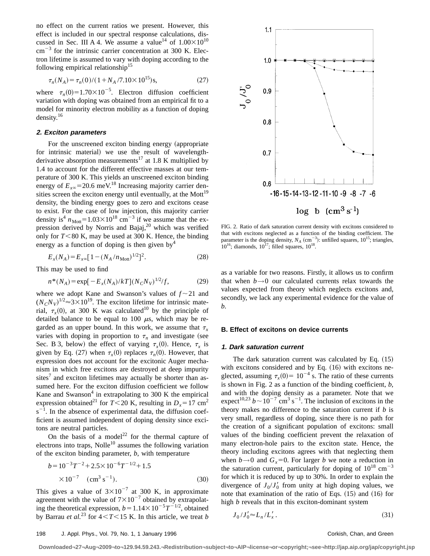no effect on the current ratios we present. However, this effect is included in our spectral response calculations, discussed in Sec. III A 4. We assume a value<sup>14</sup> of  $1.00\times10^{10}$  $cm^{-3}$  for the intrinsic carrier concentration at 300 K. Electron lifetime is assumed to vary with doping according to the following empirical relationship<sup>15</sup>

$$
\tau_n(N_A) = \tau_n(0) / (1 + N_A / 7.10 \times 10^{15}) \,\text{s},\tag{27}
$$

where  $\tau_n(0) = 1.70 \times 10^{-5}$ . Electron diffusion coefficient variation with doping was obtained from an empirical fit to a model for minority electron mobility as a function of doping density.<sup>16</sup>

#### **2. Exciton parameters**

For the unscreened exciton binding energy (appropriate for intrinsic material) we use the result of wavelengthderivative absorption measurements<sup>17</sup> at 1.8 K multiplied by 1.4 to account for the different effective masses at our temperature of 300 K. This yields an unscreened exciton binding energy of  $E_{x\infty}$ =20.6 meV.<sup>18</sup> Increasing majority carrier densities screen the exciton energy until eventually, at the Mott<sup>19</sup> density, the binding energy goes to zero and excitons cease to exist. For the case of low injection, this majority carrier density is<sup>4</sup>  $n_{\text{Mott}}$ =1.03×10<sup>18</sup> cm<sup>-3</sup> if we assume that the expression derived by Norris and Bajaj,<sup>20</sup> which was verified only for  $T \le 80$  K, may be used at 300 K. Hence, the binding energy as a function of doping is then given  $by<sup>4</sup>$ 

$$
E_x(N_A) = E_{x\infty} [1 - (N_A/n_{\text{Mott}})^{1/2}]^2.
$$
 (28)

This may be used to find

$$
n^*(N_A) = \exp[-E_x(N_A)/kT](N_C N_V)^{1/2}/f,
$$
 (29)

where we adopt Kane and Swanson's values of  $f \sim 21$  and  $(N_c N_V)^{1/2} \approx 3 \times 10^{19}$ . The exciton lifetime for intrinsic material,  $\tau_{r}(0)$ , at 300 K was calculated<sup>10</sup> by the principle of detailed balance to be equal to 100  $\mu$ s, which may be regarded as an upper bound. In this work, we assume that  $\tau_r$ varies with doping in proportion to  $\tau_n$  and investigate (see Sec. B 3, below) the effect of varying  $\tau_r(0)$ . Hence,  $\tau_r$  is given by Eq. (27) when  $\tau$ <sub>x</sub>(0) replaces  $\tau$ <sub>n</sub>(0). However, that expression does not account for the excitonic Auger mechanism in which free excitons are destroyed at deep impurity sites<sup> $\tau$ </sup> and exciton lifetimes may actually be shorter than assumed here. For the exciton diffusion coefficient we follow Kane and Swanson<sup>4</sup> in extrapolating to 300 K the empirical expression obtained<sup>21</sup> for  $T < 20$  K, resulting in  $D<sub>x</sub> = 17$  cm<sup>2</sup>  $s^{-1}$ . In the absence of experimental data, the diffusion coefficient is assumed independent of doping density since excitons are neutral particles.

On the basis of a model<sup>22</sup> for the thermal capture of electrons into traps, Nolle $^{10}$  assumes the following variation of the exciton binding parameter, *b*, with temperature

$$
b = 10^{-3}T^{-2} + 2.5 \times 10^{-6}T^{-1/2} + 1.5
$$
  
×10<sup>-7</sup> (cm<sup>3</sup> s<sup>-1</sup>). (30)

This gives a value of  $3\times10^{-7}$  at 300 K, in approximate agreement with the value of  $7\times10^{-7}$  obtained by extrapolating the theoretical expression,  $b = 1.14 \times 10^{-5} T^{-1/2}$ , obtained by Barrau *et al.*<sup>23</sup> for  $4 < T < 15$  K. In this article, we treat *b* 



FIG. 2. Ratio of dark saturation current density with excitons considered to that with excitons neglected as a function of the binding coefficient. The parameter is the doping density,  $N_A$  (cm<sup>-3</sup>): unfilled squares,  $10^{15}$ ; triangles,  $10^{16}$ ; diamonds,  $10^{17}$ ; filled squares,  $10^{18}$ .

as a variable for two reasons. Firstly, it allows us to confirm that when  $b \rightarrow 0$  our calculated currents relax towards the values expected from theory which neglects excitons and, secondly, we lack any experimental evidence for the value of *b*.

#### **B. Effect of excitons on device currents**

#### **1. Dark saturation current**

The dark saturation current was calculated by Eq.  $(15)$ with excitons considered and by Eq.  $(16)$  with excitons neglected, assuming  $\tau_{r}(0) = 10^{-4}$  s. The ratio of these currents is shown in Fig. 2 as a function of the binding coefficient, *b*, and with the doping density as a parameter. Note that we expect<sup>10,23</sup>  $b \sim 10^{-7}$  cm<sup>3</sup> s<sup>-1</sup>. The inclusion of excitons in the theory makes no difference to the saturation current if *b* is very small, regardless of doping, since there is no path for the creation of a significant population of excitons: small values of the binding coefficient prevent the relaxation of many electron-hole pairs to the exciton state. Hence, the theory including excitons agrees with that neglecting them when  $b \rightarrow 0$  and  $G<sub>x</sub>=0$ . For larger *b* we note a reduction in the saturation current, particularly for doping of  $10^{18}$  cm<sup>-3</sup> for which it is reduced by up to 30%. In order to explain the divergence of  $J_0/J_0'$  from unity at high doping values, we note that examination of the ratio of Eqs.  $(15)$  and  $(16)$  for high *b* reveals that in this exciton-dominant system

$$
J_0/J_0' \approx L_n/L_x' \,. \tag{31}
$$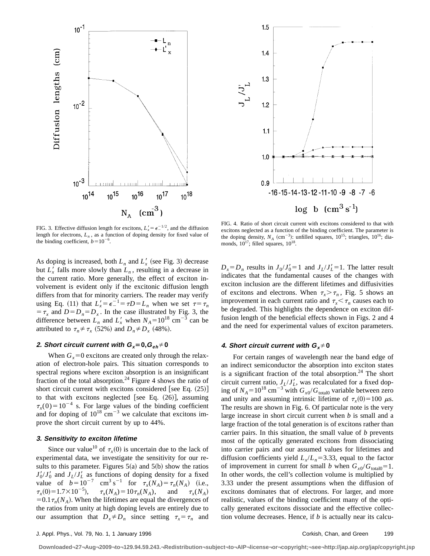

FIG. 3. Effective diffusion length for excitons,  $L'_x = \epsilon^{-1/2}$ , and the diffusion length for electrons,  $L_n$ , as a function of doping density for fixed value of the binding coefficient,  $b=10^{-6}$ .

As doping is increased, both  $L_n$  and  $L'_x$  (see Fig. 3) decrease but  $L'_x$  falls more slowly than  $L_n$ , resulting in a decrease in the current ratio. More generally, the effect of exciton involvement is evident only if the excitonic diffusion length differs from that for minority carriers. The reader may verify using Eq. (11) that  $L'_x = \epsilon_-^{-1} = \tau D = L_n$  when we set  $\tau = \tau_n$  $= \tau_x$  and  $D = D_n = D_x$ . In the case illustrated by Fig. 3, the difference between  $L_n$  and  $L'_x$  when  $N_A = 10^{18}$  cm<sup>-3</sup> can be attributed to  $\tau_n \neq \tau_x$  (52%) and  $D_n \neq D_x$  (48%).

### **2. Short circuit current with**  $G_x = 0$ **,**  $G_{eh} \neq 0$

When  $G_x = 0$  excitons are created only through the relaxation of electron-hole pairs. This situation corresponds to spectral regions where exciton absorption is an insignificant fraction of the total absorption.<sup>24</sup> Figure 4 shows the ratio of short circuit current with excitons considered [see Eq.  $(25)$ ] to that with excitons neglected [see Eq.  $(26)$ ], assuming  $\tau_r(0) = 10^{-4}$  s. For large values of the binding coefficient and for doping of  $10^{18}$  cm<sup>-3</sup> we calculate that excitons improve the short circuit current by up to 44%.

#### **3. Sensitivity to exciton lifetime**

Since our value<sup>10</sup> of  $\tau_r(0)$  is uncertain due to the lack of experimental data, we investigate the sensitivity for our results to this parameter. Figures  $5(a)$  and  $5(b)$  show the ratios  $J_0'/J_0'$  and  $J_L/J_L'$  as functions of doping density for a fixed value of  $b=10^{-7}$  cm<sup>3</sup> s<sup>-1</sup> for  $\tau_x(N_A) = \tau_n(N_A)$  (i.e.,  $\tau_x(0) = 1.7 \times 10^{-5}$ ,  $\tau_x(N_A) = 10 \tau_n(N_A)$ , and  $\tau_x(N_A)$  $=0.1\tau_n(N_A)$ . When the lifetimes are equal the divergences of the ratios from unity at high doping levels are entirely due to our assumption that  $D_x \neq D_n$  since setting  $\tau_x = \tau_n$  and



FIG. 4. Ratio of short circuit current with excitons considered to that with excitons neglected as a function of the binding coefficient. The parameter is the doping density,  $N_A$  (cm<sup>-3</sup>): unfilled squares,  $10^{15}$ ; triangles,  $10^{16}$ ; diamonds,  $10^{17}$ ; filled squares,  $10^{18}$ .

 $D_x = D_n$  results in  $J_0 / J_0' = 1$  and  $J_L / J_L' = 1$ . The latter result indicates that the fundamental causes of the changes with exciton inclusion are the different lifetimes and diffusivities of excitons and electrons. When  $\tau_x > \tau_n$ , Fig. 5 shows an improvement in each current ratio and  $\tau_x \leq \tau_n$  causes each to be degraded. This highlights the dependence on exciton diffusion length of the beneficial effects shown in Figs. 2 and 4 and the need for experimental values of exciton parameters.

#### **4. Short circuit current with**  $G_x \neq 0$

For certain ranges of wavelength near the band edge of an indirect semiconductor the absorption into exciton states is a significant fraction of the total absorption.<sup>24</sup> The short circuit current ratio,  $J_L/J_L'$ , was recalculated for a fixed doping of  $N_A = 10^{18}$  cm<sup>-3</sup> with  $G_{x0}/G_{\text{total0}}$  variable between zero and unity and assuming intrinsic lifetime of  $\tau_{r}(0) = 100 \mu s$ . The results are shown in Fig. 6. Of particular note is the very large increase in short circuit current when *b* is small and a large fraction of the total generation is of excitons rather than carrier pairs. In this situation, the small value of *b* prevents most of the optically generated excitons from dissociating into carrier pairs and our assumed values for lifetimes and diffusion coefficients yield  $L_x/L_n=3.33$ , equal to the factor of improvement in current for small *b* when  $G_{x0}/G_{\text{total}}=1$ . In other words, the cell's collection volume is multiplied by 3.33 under the present assumptions when the diffusion of excitons dominates that of electrons. For larger, and more realistic, values of the binding coefficient many of the optically generated excitons dissociate and the effective collection volume decreases. Hence, if *b* is actually near its calcu-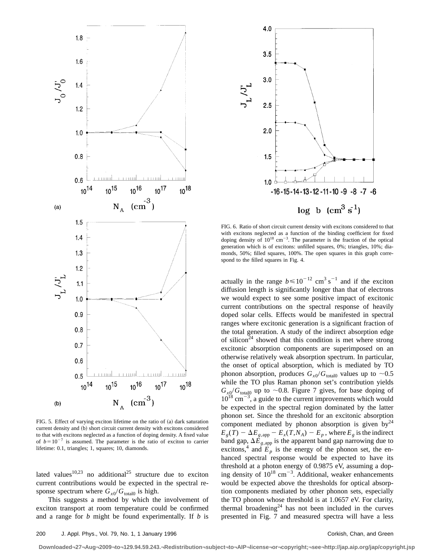

FIG. 5. Effect of varying exciton lifetime on the ratio of (a) dark saturation current density and (b) short circuit current density with excitons considered to that with excitons neglected as a function of doping density. A fixed value of  $b=10^{-7}$  is assumed. The parameter is the ratio of exciton to carrier lifetime: 0.1, triangles; 1, squares; 10, diamonds.

lated values<sup>10,23</sup> no additional<sup>25</sup> structure due to exciton current contributions would be expected in the spectral response spectrum where  $G_{x0}/G_{\text{total}0}$  is high.

This suggests a method by which the involvement of exciton transport at room temperature could be confirmed and a range for *b* might be found experimentally. If *b* is



FIG. 6. Ratio of short circuit current density with excitons considered to that with excitons neglected as a function of the binding coefficient for fixed doping density of  $10^{18}$  cm<sup>-3</sup>. The parameter is the fraction of the optical generation which is of excitons: unfilled squares, 0%; triangles, 10%; diamonds, 50%; filled squares, 100%. The open squares in this graph correspond to the filled squares in Fig. 4.

actually in the range  $b \le 10^{-12}$  cm<sup>3</sup> s<sup>-1</sup> and if the exciton diffusion length is significantly longer than that of electrons we would expect to see some positive impact of excitonic current contributions on the spectral response of heavily doped solar cells. Effects would be manifested in spectral ranges where excitonic generation is a significant fraction of the total generation. A study of the indirect absorption edge of silicon<sup>24</sup> showed that this condition is met where strong excitonic absorption components are superimposed on an otherwise relatively weak absorption spectrum. In particular, the onset of optical absorption, which is mediated by TO phonon absorption, produces  $G_{x0}/G_{\text{total0}}$  values up to  $\sim 0.5$ while the TO plus Raman phonon set's contribution yields  $G_{x0}/G_{\text{total}0}$  up to ~0.8. Figure 7 gives, for base doping of  $10^{18}$  cm<sup>-3</sup>, a guide to the current improvements which would be expected in the spectral region dominated by the latter phonon set. Since the threshold for an excitonic absorption component mediated by phonon absorption is given by  $2^4$  $E_g(T) - \Delta E_{g,app} - E_x(T, N_A) - E_p$ , where  $E_g$  is the indirect band gap,  $\Delta E_{g,app}$  is the apparent band gap narrowing due to excitons,<sup>4</sup> and  $E_p$  is the energy of the phonon set, the enhanced spectral response would be expected to have its threshold at a photon energy of 0.9875 eV, assuming a doping density of  $10^{18}$  cm<sup>-3</sup>. Additional, weaker enhancements would be expected above the thresholds for optical absorption components mediated by other phonon sets, especially the TO phonon whose threshold is at 1.0657 eV. For clarity, thermal broadening $^{24}$  has not been included in the curves presented in Fig. 7 and measured spectra will have a less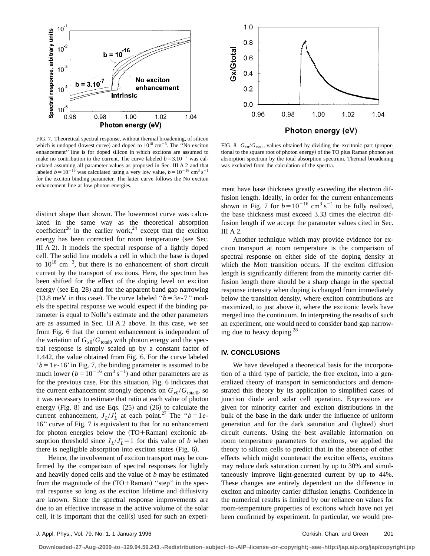

FIG. 7. Theoretical spectral response, without thermal broadening, of silicon which is undoped (lowest curve) and doped to  $10^{18}$  cm<sup>-3</sup>. The "No exciton enhancement'' line is for doped silicon in which excitons are assumed to make no contribution to the current. The curve labeled  $b=3.10^{-7}$  was calculated assuming all parameter values as proposed in Sec. III A 2 and that labeled  $b=10^{-16}$  was calculated using a very low value,  $b=10^{-16}$  cm<sup>3</sup> s<sup>-1</sup> for the exciton binding parameter. The latter curve follows the No exciton enhancement line at low photon energies.

distinct shape than shown. The lowermost curve was calculated in the same way as the theoretical absorption coefficient<sup>26</sup> in the earlier work,<sup>24</sup> except that the exciton energy has been corrected for room temperature (see Sec. III A 2). It models the spectral response of a lightly doped cell. The solid line models a cell in which the base is doped to  $10^{18}$  cm<sup>-3</sup>, but there is no enhancement of short circuit current by the transport of excitons. Here, the spectrum has been shifted for the effect of the doping level on exciton energy (see Eq. 28) and for the apparent band gap narrowing  $(13.8 \text{ meV in this case})$ . The curve labeled " $b=3e-7$ " models the spectral response we would expect if the binding parameter is equal to Nolle's estimate and the other parameters are as assumed in Sec. III A 2 above. In this case, we see from Fig. 6 that the current enhancement is independent of the variation of  $G_{x0}/G_{\text{total0}}$  with photon energy and the spectral response is simply scaled up by a constant factor of 1.442, the value obtained from Fig. 6. For the curve labeled  $b=1e-16$  in Fig. 7, the binding parameter is assumed to be much lower  $(b=10^{-16} \text{ cm}^3 \text{ s}^{-1})$  and other parameters are as for the previous case. For this situation, Fig. 6 indicates that the current enhancement strongly depends on  $G_{x0}/G_{\text{total}}$ , so it was necessary to estimate that ratio at each value of photon energy (Fig. 8) and use Eqs.  $(25)$  and  $(26)$  to calculate the current enhancement,  $J_L/J_L'$  at each point.<sup>27</sup> The " $b=1e-$ 16'' curve of Fig. 7 is equivalent to that for no enhancement for photon energies below the  $(TO+Raman)$  excitonic absorption threshold since  $J_L/J'_L = 1$  for this value of *b* when there is negligible absorption into exciton states  $(Fig. 6)$ .

Hence, the involvement of exciton transport may be confirmed by the comparison of spectral responses for lightly and heavily doped cells and the value of *b* may be estimated from the magnitude of the  $(TO+Raman)$  "step" in the spectral response so long as the exciton lifetime and diffusivity are known. Since the spectral response improvements are due to an effective increase in the active volume of the solar cell, it is important that the cell $(s)$  used for such an experi-



FIG. 8.  $G_{x0}/G_{\text{total0}}$  values obtained by dividing the excitonic part (proportional to the square root of photon energy) of the TO plus Raman phonon set absorption spectrum by the total absorption spectrum. Thermal broadening was excluded from the calculation of the spectra.

ment have base thickness greatly exceeding the electron diffusion length. Ideally, in order for the current enhancements shown in Fig. 7 for  $b=10^{-16}$  cm<sup>3</sup> s<sup>-1</sup> to be fully realized, the base thickness must exceed 3.33 times the electron diffusion length if we accept the parameter values cited in Sec. III A 2.

Another technique which may provide evidence for exciton transport at room temperature is the comparison of spectral response on either side of the doping density at which the Mott transition occurs. If the exciton diffusion length is significantly different from the minority carrier diffusion length there should be a sharp change in the spectral response intensity when doping is changed from immediately below the transition density, where exciton contributions are maximized, to just above it, where the excitonic levels have merged into the continuum. In interpreting the results of such an experiment, one would need to consider band gap narrowing due to heavy doping.<sup>28</sup>

### **IV. CONCLUSIONS**

We have developed a theoretical basis for the incorporation of a third type of particle, the free exciton, into a generalized theory of transport in semiconductors and demonstrated this theory by its application to simplified cases of junction diode and solar cell operation. Expressions are given for minority carrier and exciton distributions in the bulk of the base in the dark under the influence of uniform generation and for the dark saturation and (lighted) short circuit currents. Using the best available information on room temperature parameters for excitons, we applied the theory to silicon cells to predict that in the absence of other effects which might counteract the exciton effects, excitons may reduce dark saturation current by up to 30% and simultaneously improve light-generated current by up to 44%. These changes are entirely dependent on the difference in exciton and minority carrier diffusion lengths. Confidence in the numerical results is limited by our reliance on values for room-temperature properties of excitons which have not yet been confirmed by experiment. In particular, we would pre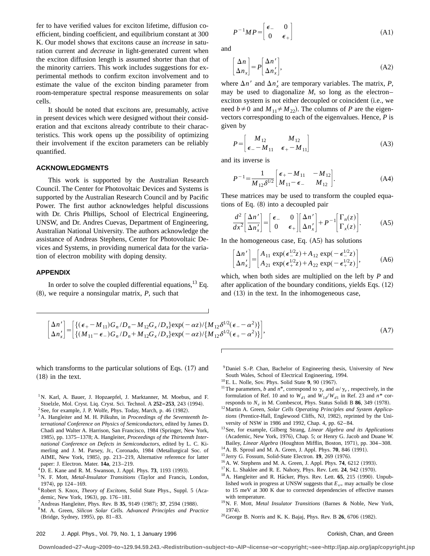fer to have verified values for exciton lifetime, diffusion coefficient, binding coefficient, and equilibrium constant at 300 K. Our model shows that excitons cause an *increase* in saturation current and *decrease* in light-generated current when the exciton diffusion length is assumed shorter than that of the minority carriers. This work includes suggestions for experimental methods to confirm exciton involvement and to estimate the value of the exciton binding parameter from room-temperature spectral response measurements on solar cells.

It should be noted that excitons are, presumably, active in present devices which were designed without their consideration and that excitons already contribute to their characteristics. This work opens up the possibility of optimizing their involvement if the exciton parameters can be reliably quantified.

#### **ACKNOWLEDGMENTS**

This work is supported by the Australian Research Council. The Center for Photovoltaic Devices and Systems is supported by the Australian Research Council and by Pacific Power. The first author acknowledges helpful discussions with Dr. Chris Phillips, School of Electrical Engineering, UNSW, and Dr. Andres Cuevas, Department of Engineering, Australian National University. The authors acknowledge the assistance of Andreas Stephens, Center for Photovoltaic Devices and Systems, in providing numerical data for the variation of electron mobility with doping density.

#### **APPENDIX**

In order to solve the coupled differential equations,  $^{13}$  Eq.  $(8)$ , we require a nonsingular matrix,  $P$ , such that

$$
P^{-1}MP = \begin{bmatrix} \epsilon_- & 0\\ 0 & \epsilon_+ \end{bmatrix} \tag{A1}
$$

and

$$
\begin{bmatrix} \Delta n \\ \Delta n_x \end{bmatrix} = P \begin{bmatrix} \Delta n' \\ \Delta n'_x \end{bmatrix},
$$
\n(A2)

where  $\Delta n'$  and  $\Delta n'_x$  are temporary variables. The matrix, *P*, may be used to diagonalize  $M$ , so long as the electron– exciton system is not either decoupled or coincident (i.e., we need  $b \neq 0$  and  $M_{11} \neq M_{22}$ ). The columns of *P* are the eigenvectors corresponding to each of the eigenvalues. Hence, *P* is given by

$$
P = \begin{bmatrix} M_{12} & M_{12} \\ \epsilon_- - M_{11} & \epsilon_+ - M_{11} \end{bmatrix} \tag{A3}
$$

and its inverse is

$$
P^{-1} = \frac{1}{M_{12}\delta^{1/2}} \begin{bmatrix} \epsilon_+ - M_{11} & -M_{12} \\ M_{11} - \epsilon_- & M_{12} \end{bmatrix} .
$$
 (A4)

These matrices may be used to transform the coupled equations of Eq.  $(8)$  into a decoupled pair

$$
\frac{d^2}{dx^2} \left[ \frac{\Delta n'}{\Delta n'_x} \right] = \left[ \begin{array}{cc} \epsilon_- & 0 \\ 0 & \epsilon_+ \end{array} \right] \left[ \begin{array}{c} \Delta n' \\ \Delta n'_x \end{array} \right] + P^{-1} \left[ \begin{array}{c} \Gamma_n(z) \\ \Gamma_x(z) \end{array} \right]. \tag{A5}
$$

In the homogeneous case, Eq.  $(A5)$  has solutions

$$
\begin{bmatrix}\n\Delta n' \\
\Delta n'_x\n\end{bmatrix} = \begin{bmatrix}\nA_{11} \exp(\epsilon_{-2}^{1/2} + A_{12} \exp(-\epsilon_{-2}^{1/2}z)) \\
A_{21} \exp(\epsilon_{+2}^{1/2} + A_{22} \exp(-\epsilon_{+2}^{1/2}z))\n\end{bmatrix},
$$
\n(A6)

which, when both sides are multiplied on the left by *P* and after application of the boundary conditions, yields Eqs.  $(12)$ and  $(13)$  in the text. In the inhomogeneous case,

$$
\begin{bmatrix}\n\Delta n' \\
\Delta n'_x\n\end{bmatrix} = \begin{bmatrix}\n\{(\epsilon_+ - M_{11})G_n/D_n - M_{12}G_x/D_x\} \exp(-\alpha z) / \{M_{12}\delta^{1/2}(\epsilon_- - \alpha^2)\} \\
\{M_{11} - \epsilon_-)G_n/D_n + M_{12}G_x/D_x\} \exp(-\alpha z) / \{M_{12}\delta^{1/2}(\epsilon_+ - \alpha^2)\}\n\end{bmatrix},
$$
\n(A7)

which transforms to the particular solutions of Eqs.  $(17)$  and  $(18)$  in the text.

- <sup>1</sup>N. Karl, A. Bauer, J. Hopzaepfel, J. Marktanner, M. Moebus, and F. Stoelzle, Mol. Cryst. Liq. Cryst. Sci. Technol. A  $252-253$ , 243 (1994).
- $2$ See, for example, J. P. Wolfe, Phys. Today, March, p. 46 (1982).
- 3A. Hangleiter and M. H. Pilkuhn, in *Proceedings of the Seventeenth International Conference on Physics of Semiconductors*, edited by James D. Chadi and Walter A. Harrison, San Francisco, 1984 (Springer, New York, 1985), pp. 1375-1378; A. Hangleiter, *Proceedings of the Thirteenth International Conference on Defects in Semiconductors*, edited by L. C. Kimerling and J. M. Parsey, Jr., Coronado, 1984 (Metallurgical Soc. of AIME, New York, 1985), pp. 213-219, Alternative reference for latter paper: J. Electron. Mater. **14a**, 213–219.

- <sup>5</sup>N. F. Mott, *Metal-Insulator Transitions* (Taylor and Francis, London, 1974), pp 124-169.
- <sup>6</sup>Robert S. Knox, *Theory of Excitons*, Solid State Phys., Suppl. 5 (Academic, New York, 1963), pp. 176-181.
- <sup>7</sup> Andreas Hangleiter, Phys. Rev. B 35, 9149 (1987); 37, 2594 (1988).
- 8M. A. Green, *Silicon Solar Cells. Advanced Principles and Practice* (Bridge, Sydney, 1995), pp. 81-83.
- 9Daniel S.-P. Chan, Bachelor of Engineering thesis, University of New South Wales, School of Electrical Engineering, 1994.
- <sup>10</sup>E. L. Nolle, Sov. Phys. Solid State 9, 90 (1967).
- <sup>11</sup> The parameters, *b* and *n*<sup>\*</sup>, correspond to  $\gamma_e$  and  $\alpha/\gamma_e$ , respectively, in the formulation of Ref. 10 and to  $W_{d1}$  and  $W_{1d}/W_{d1}$  in Ref. 23 and  $n^*$  corresponds to  $N_e$  in M. Combescot, Phys. Status Solidi B **86**, 349 (1978).
- <sup>12</sup> Martin A. Green, *Solar Cells Operating Principles and System Applica*tions (Prentice-Hall, Englewood Cliffs, NJ, 1982), reprinted by the University of NSW in 1986 and 1992, Chap. 4, pp. 62-84.
- 13See, for example, Gilberg Strang, *Linear Algebra and its Applications* (Academic, New York, 1976), Chap. 5; or Henry G. Jacob and Duane W. Bailey, *Linear Algebra* (Houghton Mifflin, Boston, 1971), pp. 304-308.
- <sup>14</sup> A. B. Sproul and M. A. Green, J. Appl. Phys. **70**, 846 (1991).
- <sup>15</sup> Jerry G. Fossum, Solid-State Electron. **19**, 269 (1976).
- <sup>16</sup> A. W. Stephens and M. A. Green, J. Appl. Phys. **74**, 6212 (1993).
- <sup>17</sup>K. L. Shaklee and R. E. Nahory, Phys. Rev. Lett. **24**, 942 (1970).
- <sup>18</sup> A. Hangleiter and R. Häcker, Phys. Rev. Lett. 65, 215 (1990). Unpublished work in progress at UNSW suggests that  $E_{r\infty}$  may actually be close to 15 meV at 300 K due to corrected dependencies of effective masses with temperature.
- <sup>19</sup>N. F. Mott, *Metal Insulator Transitions* (Barnes & Noble, New York, 1974).
- <sup>20</sup>George B. Norris and K. K. Bajaj, Phys. Rev. B  $26$ , 6706 (1982).

<sup>&</sup>lt;sup>4</sup> D. E. Kane and R. M. Swanson, J. Appl. Phys. **73**, 1193 (1993).